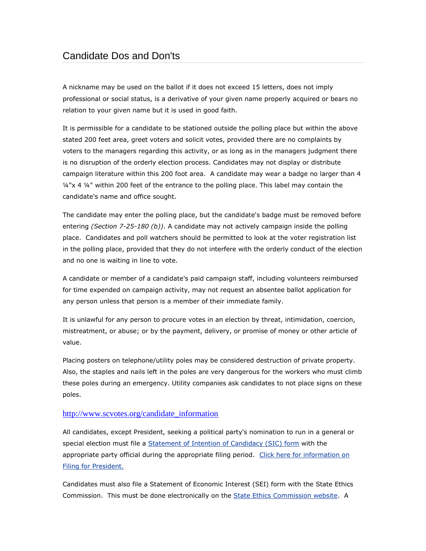# Candidate Dos and Don'ts

A nickname may be used on the ballot if it does not exceed 15 letters, does not imply professional or social status, is a derivative of your given name properly acquired or bears no relation to your given name but it is used in good faith.

It is permissible for a candidate to be stationed outside the polling place but within the above stated 200 feet area, greet voters and solicit votes, provided there are no complaints by voters to the managers regarding this activity, or as long as in the managers judgment there is no disruption of the orderly election process. Candidates may not display or distribute campaign literature within this 200 foot area. A candidate may wear a badge no larger than 4 ¼"x 4 ¼" within 200 feet of the entrance to the polling place. This label may contain the candidate's name and office sought.

The candidate may enter the polling place, but the candidate's badge must be removed before entering *(Section 7-25-180 (b))*. A candidate may not actively campaign inside the polling place. Candidates and poll watchers should be permitted to look at the voter registration list in the polling place, provided that they do not interfere with the orderly conduct of the election and no one is waiting in line to vote.

A candidate or member of a candidate's paid campaign staff, including volunteers reimbursed for time expended on campaign activity, may not request an absentee ballot application for any person unless that person is a member of their immediate family.

It is unlawful for any person to procure votes in an election by threat, intimidation, coercion, mistreatment, or abuse; or by the payment, delivery, or promise of money or other article of value.

Placing posters on telephone/utility poles may be considered destruction of private property. Also, the staples and nails left in the poles are very dangerous for the workers who must climb these poles during an emergency. Utility companies ask candidates to not place signs on these poles.

#### [http://www.scvotes.org/candidate\\_information](http://www.scvotes.org/candidate_information)

All candidates, except President, seeking a political party's nomination to run in a general or special election must file a [Statement of Intention of Candidacy \(SIC\) form](http://scvotes.org/files/SEC%20FRM%201010-200911%20Statement%20of%20Intention%20of%20Candidacy%20-%20Partisan.pdf) with the appropriate party official during the appropriate filing period. Click here for information on [Filing for President.](http://www.scvotes.org/candidate_information/filing_for_president)

Candidates must also file a Statement of Economic Interest (SEI) form with the State Ethics Commission. This must be done electronically on the [State Ethics Commission website.](http://ethics.sc.gov/) A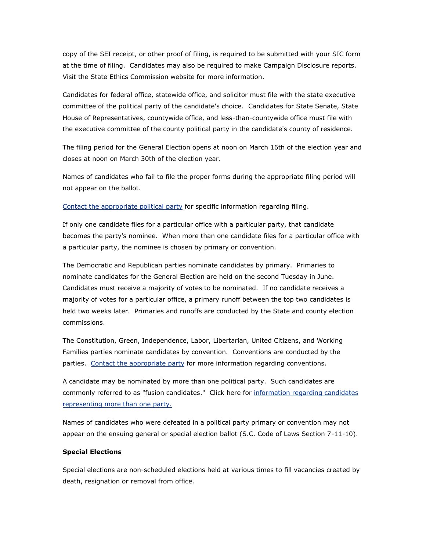copy of the SEI receipt, or other proof of filing, is required to be submitted with your SIC form at the time of filing. Candidates may also be required to make Campaign Disclosure reports. Visit the State Ethics Commission website for more information.

Candidates for federal office, statewide office, and solicitor must file with the state executive committee of the political party of the candidate's choice. Candidates for State Senate, State House of Representatives, countywide office, and less-than-countywide office must file with the executive committee of the county political party in the candidate's county of residence.

The filing period for the General Election opens at noon on March 16th of the election year and closes at noon on March 30th of the election year.

Names of candidates who fail to file the proper forms during the appropriate filing period will not appear on the ballot.

[Contact the appropriate political party](http://www.scvotes.org/2007/05/09/certified_political_parties_of_south_carolina) for specific information regarding filing.

If only one candidate files for a particular office with a particular party, that candidate becomes the party's nominee. When more than one candidate files for a particular office with a particular party, the nominee is chosen by primary or convention.

The Democratic and Republican parties nominate candidates by primary. Primaries to nominate candidates for the General Election are held on the second Tuesday in June. Candidates must receive a majority of votes to be nominated. If no candidate receives a majority of votes for a particular office, a primary runoff between the top two candidates is held two weeks later. Primaries and runoffs are conducted by the State and county election commissions.

The Constitution, Green, Independence, Labor, Libertarian, United Citizens, and Working Families parties nominate candidates by convention. Conventions are conducted by the parties. [Contact the appropriate party](http://www.scvotes.org/2007/05/09/certified_political_parties_of_south_carolina) for more information regarding conventions.

A candidate may be nominated by more than one political party. Such candidates are commonly referred to as "fusion candidates." Click here for information regarding candidates [representing more than one party.](http://www.scvotes.org/2010/03/03/candidates_representing_more_than_one_party_fusion_candidates)

Names of candidates who were defeated in a political party primary or convention may not appear on the ensuing general or special election ballot (S.C. Code of Laws Section 7-11-10).

#### **Special Elections**

Special elections are non-scheduled elections held at various times to fill vacancies created by death, resignation or removal from office.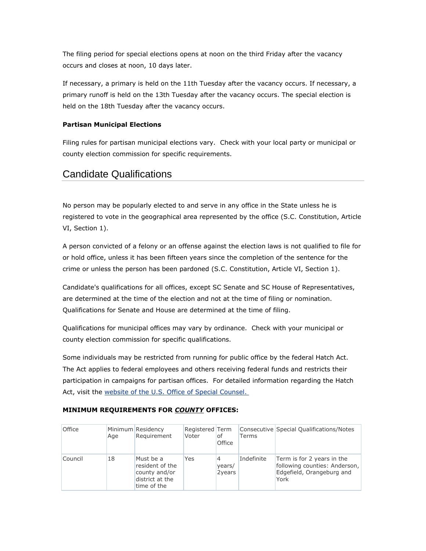The filing period for special elections opens at noon on the third Friday after the vacancy occurs and closes at noon, 10 days later.

If necessary, a primary is held on the 11th Tuesday after the vacancy occurs. If necessary, a primary runoff is held on the 13th Tuesday after the vacancy occurs. The special election is held on the 18th Tuesday after the vacancy occurs.

### **Partisan Municipal Elections**

Filing rules for partisan municipal elections vary. Check with your local party or municipal or county election commission for specific requirements.

# Candidate Qualifications

No person may be popularly elected to and serve in any office in the State unless he is registered to vote in the geographical area represented by the office (S.C. Constitution, Article VI, Section 1).

A person convicted of a felony or an offense against the election laws is not qualified to file for or hold office, unless it has been fifteen years since the completion of the sentence for the crime or unless the person has been pardoned (S.C. Constitution, Article VI, Section 1).

Candidate's qualifications for all offices, except SC Senate and SC House of Representatives, are determined at the time of the election and not at the time of filing or nomination. Qualifications for Senate and House are determined at the time of filing.

Qualifications for municipal offices may vary by ordinance. Check with your municipal or county election commission for specific qualifications.

Some individuals may be restricted from running for public office by the federal Hatch Act. The Act applies to federal employees and others receiving federal funds and restricts their participation in campaigns for partisan offices. For detailed information regarding the Hatch Act, visit the website [of the U.S. Office of Special Counsel.](http://www.osc.gov/hatchact.htm)

### **MINIMUM REQUIREMENTS FOR** *COUNTY* **OFFICES:**

| <b>Office</b> | Age | Minimum Residency<br>Requirement                                                | Registered Term<br>Voter | l of<br><b>Office</b> | Terms      | Consecutive Special Qualifications/Notes                                                         |
|---------------|-----|---------------------------------------------------------------------------------|--------------------------|-----------------------|------------|--------------------------------------------------------------------------------------------------|
| Council       | 18  | Must be a<br>resident of the<br>county and/or<br>district at the<br>time of the | Yes                      | 4<br>years/<br>2years | Indefinite | Term is for 2 years in the<br>following counties: Anderson,<br>Edgefield, Orangeburg and<br>York |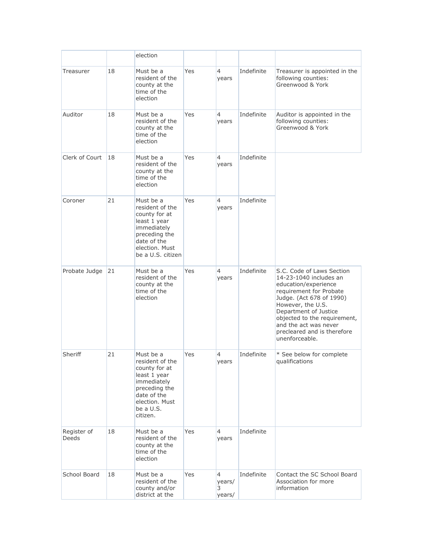|                      |    | election                                                                                                                                                |     |                                         |            |                                                                                                                                                                                                                                                                                            |
|----------------------|----|---------------------------------------------------------------------------------------------------------------------------------------------------------|-----|-----------------------------------------|------------|--------------------------------------------------------------------------------------------------------------------------------------------------------------------------------------------------------------------------------------------------------------------------------------------|
| Treasurer            | 18 | Must be a<br>resident of the<br>county at the<br>time of the<br>election                                                                                | Yes | $\overline{4}$<br>years                 | Indefinite | Treasurer is appointed in the<br>following counties:<br>Greenwood & York                                                                                                                                                                                                                   |
| Auditor              | 18 | Must be a<br>resident of the<br>county at the<br>time of the<br>election                                                                                | Yes | 4<br>years                              | Indefinite | Auditor is appointed in the<br>following counties:<br>Greenwood & York                                                                                                                                                                                                                     |
| Clerk of Court       | 18 | Must be a<br>resident of the<br>county at the<br>time of the<br>election                                                                                | Yes | 4<br>years                              | Indefinite |                                                                                                                                                                                                                                                                                            |
| Coroner              | 21 | Must be a<br>resident of the<br>county for at<br>least 1 year<br>immediately<br>preceding the<br>date of the<br>election. Must<br>be a U.S. citizen     | Yes | $\overline{4}$<br>years                 | Indefinite |                                                                                                                                                                                                                                                                                            |
| Probate Judge        | 21 | Must be a<br>resident of the<br>county at the<br>time of the<br>election                                                                                | Yes | $\overline{4}$<br>years                 | Indefinite | S.C. Code of Laws Section<br>14-23-1040 includes an<br>education/experience<br>requirement for Probate<br>Judge. (Act 678 of 1990)<br>However, the U.S.<br>Department of Justice<br>objected to the requirement,<br>and the act was never<br>precleared and is therefore<br>unenforceable. |
| Sheriff              | 21 | Must be a<br>resident of the<br>county for at<br>least 1 year<br>immediately<br>preceding the<br>date of the<br>election. Must<br>be a U.S.<br>citizen. | Yes | 4<br>years                              | Indefinite | * See below for complete<br>qualifications                                                                                                                                                                                                                                                 |
| Register of<br>Deeds | 18 | Must be a<br>resident of the<br>county at the<br>time of the<br>election                                                                                | Yes | $\overline{4}$<br>years                 | Indefinite |                                                                                                                                                                                                                                                                                            |
| School Board         | 18 | Must be a<br>resident of the<br>county and/or<br>district at the                                                                                        | Yes | $\overline{4}$<br>years/<br>3<br>years/ | Indefinite | Contact the SC School Board<br>Association for more<br>information                                                                                                                                                                                                                         |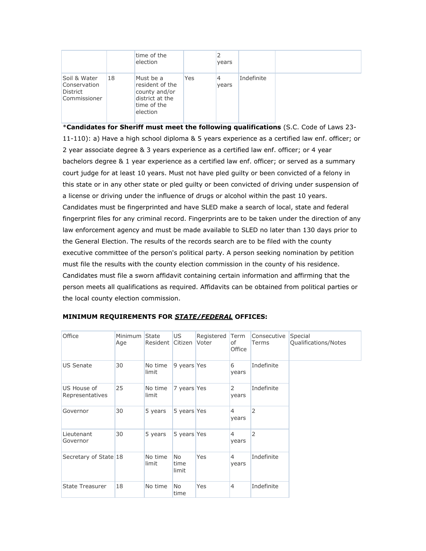|                                                                 |    | time of the                                                                                 |     |            |            |  |
|-----------------------------------------------------------------|----|---------------------------------------------------------------------------------------------|-----|------------|------------|--|
|                                                                 |    | election                                                                                    |     | years      |            |  |
| Soil & Water<br>Conservation<br><b>District</b><br>Commissioner | 18 | Must be a<br>resident of the<br>county and/or<br>district at the<br>time of the<br>election | Yes | 4<br>years | Indefinite |  |

\***Candidates for Sheriff must meet the following qualifications** (S.C. Code of Laws 23- 11-110): a) Have a high school diploma & 5 years experience as a certified law enf. officer; or 2 year associate degree & 3 years experience as a certified law enf. officer; or 4 year bachelors degree & 1 year experience as a certified law enf. officer; or served as a summary court judge for at least 10 years. Must not have pled guilty or been convicted of a felony in this state or in any other state or pled guilty or been convicted of driving under suspension of a license or driving under the influence of drugs or alcohol within the past 10 years. Candidates must be fingerprinted and have SLED make a search of local, state and federal fingerprint files for any criminal record. Fingerprints are to be taken under the direction of any law enforcement agency and must be made available to SLED no later than 130 days prior to the General Election. The results of the records search are to be filed with the county executive committee of the person's political party. A person seeking nomination by petition must file the results with the county election commission in the county of his residence. Candidates must file a sworn affidavit containing certain information and affirming that the person meets all qualifications as required. Affidavits can be obtained from political parties or the local county election commission.

| Office                         | Minimum State<br>Age | Resident         | US<br>Citizen          | Registered<br>Voter | Term<br>of<br>Office    | Consecutive<br><b>Terms</b> | Special<br>Qualifications/Notes |
|--------------------------------|----------------------|------------------|------------------------|---------------------|-------------------------|-----------------------------|---------------------------------|
| <b>US Senate</b>               | 30                   | No time<br>limit | 9 years Yes            |                     | 6<br>years              | Indefinite                  |                                 |
| US House of<br>Representatives | 25                   | No time<br>limit | 7 years Yes            |                     | 2<br>years              | Indefinite                  |                                 |
| Governor                       | 30                   | 5 years          | 5 years Yes            |                     | $\overline{4}$<br>years | 2                           |                                 |
| Lieutenant<br>Governor         | 30                   | 5 years          | 5 years Yes            |                     | $\overline{4}$<br>years | 2                           |                                 |
| Secretary of State 18          |                      | No time<br>limit | No.<br>time<br>limit   | Yes                 | $\overline{4}$<br>years | Indefinite                  |                                 |
| <b>State Treasurer</b>         | 18                   | No time          | N <sub>o</sub><br>time | Yes                 | 4                       | Indefinite                  |                                 |

#### **MINIMUM REQUIREMENTS FOR** *STATE/FEDERAL* **OFFICES:**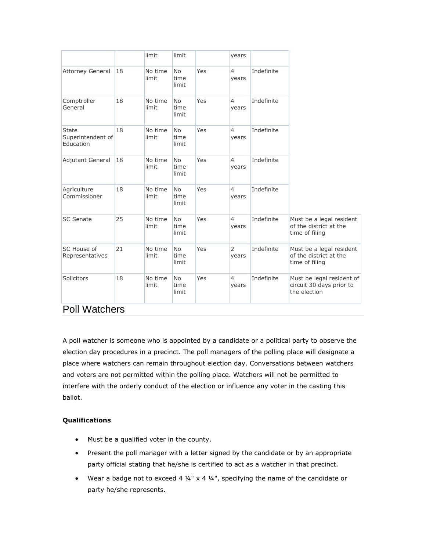|                                                |    | limit            | limit                      |     | years                   |            |                                                                       |
|------------------------------------------------|----|------------------|----------------------------|-----|-------------------------|------------|-----------------------------------------------------------------------|
| Attorney General                               | 18 | No time<br>limit | <b>No</b><br>time<br>limit | Yes | $\overline{4}$<br>years | Indefinite |                                                                       |
| Comptroller<br>General                         | 18 | No time<br>limit | <b>No</b><br>time<br>limit | Yes | $\overline{4}$<br>years | Indefinite |                                                                       |
| <b>State</b><br>Superintendent of<br>Education | 18 | No time<br>limit | <b>No</b><br>time<br>limit | Yes | $\overline{4}$<br>years | Indefinite |                                                                       |
| Adjutant General                               | 18 | No time<br>limit | <b>No</b><br>time<br>limit | Yes | $\overline{4}$<br>years | Indefinite |                                                                       |
| Agriculture<br>Commissioner                    | 18 | No time<br>limit | <b>No</b><br>time<br>limit | Yes | $\overline{4}$<br>years | Indefinite |                                                                       |
| <b>SC Senate</b>                               | 25 | No time<br>limit | <b>No</b><br>time<br>limit | Yes | $\overline{4}$<br>years | Indefinite | Must be a legal resident<br>of the district at the<br>time of filing  |
| SC House of<br>Representatives                 | 21 | No time<br>limit | <b>No</b><br>time<br>limit | Yes | $\overline{2}$<br>years | Indefinite | Must be a legal resident<br>of the district at the<br>time of filing  |
| Solicitors                                     | 18 | No time<br>limit | <b>No</b><br>time<br>limit | Yes | $\overline{4}$<br>years | Indefinite | Must be legal resident of<br>circuit 30 days prior to<br>the election |
| D <sub>0</sub>                                 |    |                  |                            |     |                         |            |                                                                       |

# Poll Watchers

A poll watcher is someone who is appointed by a candidate or a political party to observe the election day procedures in a precinct. The poll managers of the polling place will designate a place where watchers can remain throughout election day. Conversations between watchers and voters are not permitted within the polling place. Watchers will not be permitted to interfere with the orderly conduct of the election or influence any voter in the casting this ballot.

## **Qualifications**

- Must be a qualified voter in the county.
- Present the poll manager with a letter signed by the candidate or by an appropriate party official stating that he/she is certified to act as a watcher in that precinct.
- Wear a badge not to exceed 4  $\frac{1}{4}$ " x 4  $\frac{1}{4}$ ", specifying the name of the candidate or party he/she represents.